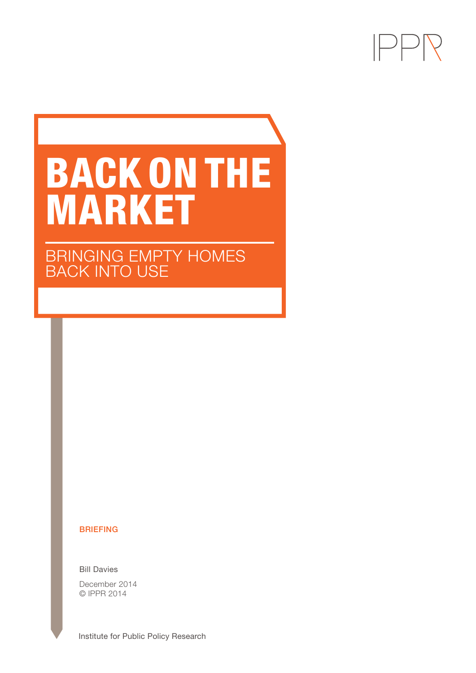

# BACK ON THE MARKET

BRINGING EMPTY HOMES BACK INTO USE

#### BRIEFING

Bill Davies

December 2014 © IPPR 2014

**Institute for Public Policy Research**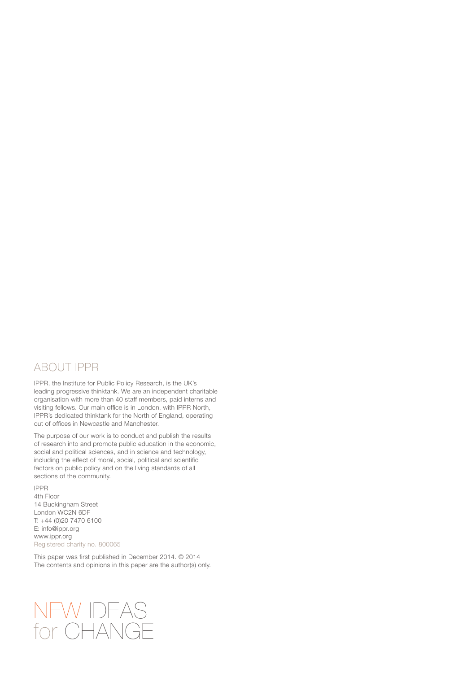# ABOUT IPPR

IPPR, the Institute for Public Policy Research, is the UK's leading progressive thinktank. We are an independent charitable organisation with more than 40 staff members, paid interns and visiting fellows. Our main office is in London, with IPPR North, IPPR's dedicated thinktank for the North of England, operating out of offices in Newcastle and Manchester.

The purpose of our work is to conduct and publish the results of research into and promote public education in the economic, social and political sciences, and in science and technology, including the effect of moral, social, political and scientific factors on public policy and on the living standards of all sections of the community.

IPPR 4th Floor 14 Buckingham Street London WC2N 6DF T: +44 (0)20 7470 6100 E: info@ippr.org www.ippr.org Registered charity no. 800065

This paper was first published in December 2014. © 2014 The contents and opinions in this paper are the author(s) only.

# NEW IDEAS for CHANGE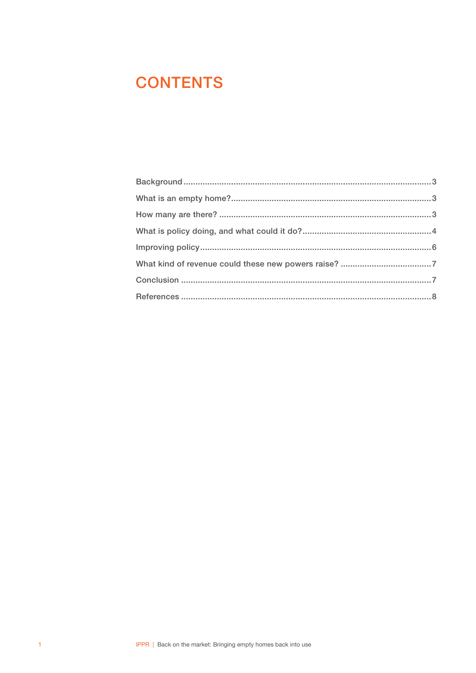# **CONTENTS**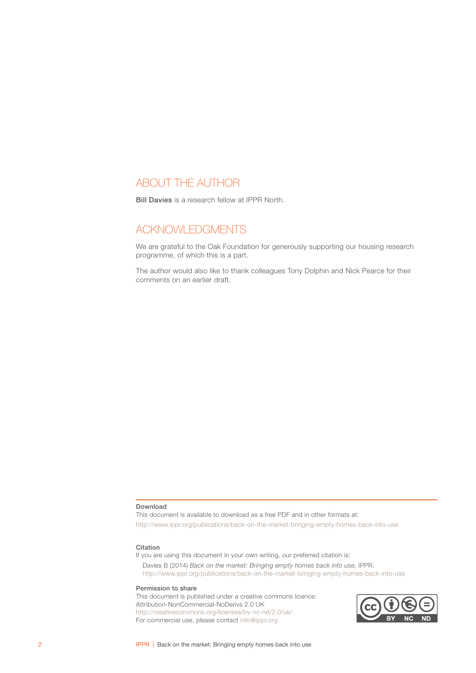# ABOUT THE AUTHOR

Bill Davies is a research fellow at IPPR North.

# ACKNOWLEDGMENTS

We are grateful to the Oak Foundation for generously supporting our housing research programme, of which this is a part.

The author would also like to thank colleagues Tony Dolphin and Nick Pearce for their comments on an earlier draft.

#### Download

This document is available to download as a free PDF and in other formats at: http://www.ippr.org/publications/back-on-the-market-bringing-empty-homes-back-into-use

#### Citation

If you are using this document in your own writing, our preferred citation is: Davies B (2014) *Back on the market: Bringing empty homes back into use*, IPPR.

http://www.ippr.org/publications/back-on-the-market-bringing-empty-homes-back-into-use

#### Permission to share

This document is published under a creative commons licence: Attribution-NonCommercial-NoDerivs 2.0 UK <http://creativecommons.org/licenses/by-nc-nd/2.0/uk/> For commercial use, please contact <info@ippr.org>

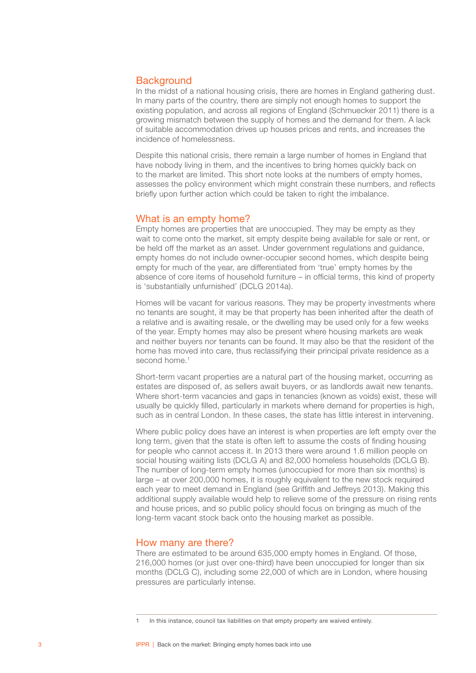## <span id="page-4-0"></span>**Background**

In the midst of a national housing crisis, there are homes in England gathering dust. In many parts of the country, there are simply not enough homes to support the existing population, and across all regions of England (Schmuecker 2011) there is a growing mismatch between the supply of homes and the demand for them. A lack of suitable accommodation drives up houses prices and rents, and increases the incidence of homelessness.

Despite this national crisis, there remain a large number of homes in England that have nobody living in them, and the incentives to bring homes quickly back on to the market are limited. This short note looks at the numbers of empty homes, assesses the policy environment which might constrain these numbers, and reflects briefly upon further action which could be taken to right the imbalance.

#### What is an empty home?

Empty homes are properties that are unoccupied. They may be empty as they wait to come onto the market, sit empty despite being available for sale or rent, or be held off the market as an asset. Under government regulations and guidance, empty homes do not include owner-occupier second homes, which despite being empty for much of the year, are differentiated from 'true' empty homes by the absence of core items of household furniture – in official terms, this kind of property is 'substantially unfurnished' (DCLG 2014a).

Homes will be vacant for various reasons. They may be property investments where no tenants are sought, it may be that property has been inherited after the death of a relative and is awaiting resale, or the dwelling may be used only for a few weeks of the year. Empty homes may also be present where housing markets are weak and neither buyers nor tenants can be found. It may also be that the resident of the home has moved into care, thus reclassifying their principal private residence as a second home.<sup>1</sup>

Short-term vacant properties are a natural part of the housing market, occurring as estates are disposed of, as sellers await buyers, or as landlords await new tenants. Where short-term vacancies and gaps in tenancies (known as voids) exist, these will usually be quickly filled, particularly in markets where demand for properties is high, such as in central London. In these cases, the state has little interest in intervening.

Where public policy does have an interest is when properties are left empty over the long term, given that the state is often left to assume the costs of finding housing for people who cannot access it. In 2013 there were around 1.6 million people on social housing waiting lists (DCLG A) and 82,000 homeless households (DCLG B). The number of long-term empty homes (unoccupied for more than six months) is large – at over 200,000 homes, it is roughly equivalent to the new stock required each year to meet demand in England (see Griffith and Jeffreys 2013). Making this additional supply available would help to relieve some of the pressure on rising rents and house prices, and so public policy should focus on bringing as much of the long-term vacant stock back onto the housing market as possible.

#### How many are there?

There are estimated to be around 635,000 empty homes in England. Of those, 216,000 homes (or just over one-third) have been unoccupied for longer than six months (DCLG C), including some 22,000 of which are in London, where housing pressures are particularly intense.

In this instance, council tax liabilities on that empty property are waived entirely.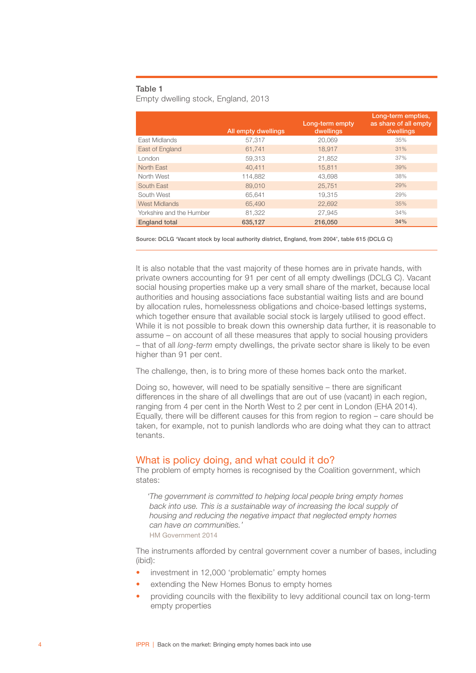#### <span id="page-5-0"></span>Table 1

Empty dwelling stock, England, 2013

|                          | All empty dwellings | Long-term empty<br>dwellings | Long-term empties,<br>as share of all empty<br>dwellings |
|--------------------------|---------------------|------------------------------|----------------------------------------------------------|
| East Midlands            | 57,317              | 20,069                       | 35%                                                      |
| East of England          | 61.741              | 18.917                       | 31%                                                      |
| London                   | 59.313              | 21.852                       | 37%                                                      |
| North East               | 40.411              | 15.811                       | 39%                                                      |
| North West               | 114,882             | 43,698                       | 38%                                                      |
| South East               | 89,010              | 25,751                       | 29%                                                      |
| South West               | 65,641              | 19.315                       | 29%                                                      |
| <b>West Midlands</b>     | 65,490              | 22,692                       | 35%                                                      |
| Yorkshire and the Humber | 81,322              | 27,945                       | 34%                                                      |
| <b>England total</b>     | 635,127             | 216,050                      | 34%                                                      |

Source: DCLG 'Vacant stock by local authority district, England, from 2004', table 615 (DCLG C)

It is also notable that the vast majority of these homes are in private hands, with private owners accounting for 91 per cent of all empty dwellings (DCLG C). Vacant social housing properties make up a very small share of the market, because local authorities and housing associations face substantial waiting lists and are bound by allocation rules, homelessness obligations and choice-based lettings systems, which together ensure that available social stock is largely utilised to good effect. While it is not possible to break down this ownership data further, it is reasonable to assume – on account of all these measures that apply to social housing providers – that of all *long-term* empty dwellings, the private sector share is likely to be even higher than 91 per cent.

The challenge, then, is to bring more of these homes back onto the market.

Doing so, however, will need to be spatially sensitive – there are significant differences in the share of all dwellings that are out of use (vacant) in each region, ranging from 4 per cent in the North West to 2 per cent in London (EHA 2014). Equally, there will be different causes for this from region to region – care should be taken, for example, not to punish landlords who are doing what they can to attract tenants.

#### What is policy doing, and what could it do?

The problem of empty homes is recognised by the Coalition government, which states:

*'The government is committed to helping local people bring empty homes back into use. This is a sustainable way of increasing the local supply of housing and reducing the negative impact that neglected empty homes can have on communities.'*  HM Government 2014

The instruments afforded by central government cover a number of bases, including (ibid):

- investment in 12,000 'problematic' empty homes
- extending the New Homes Bonus to empty homes
- providing councils with the flexibility to levy additional council tax on long-term empty properties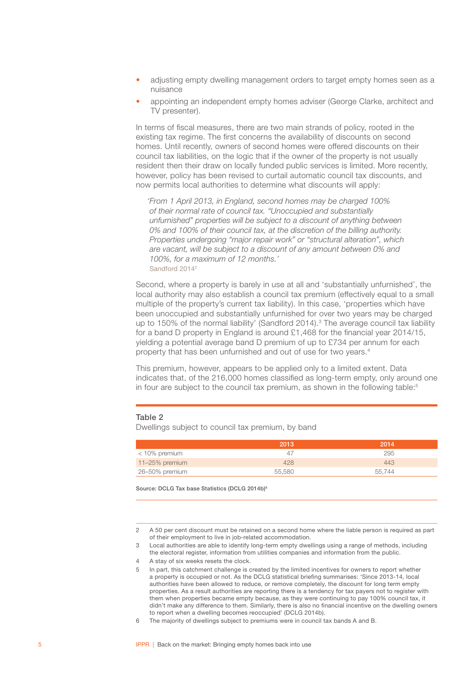- adjusting empty dwelling management orders to target empty homes seen as a nuisance
- appointing an independent empty homes adviser (George Clarke, architect and TV presenter).

In terms of fiscal measures, there are two main strands of policy, rooted in the existing tax regime. The first concerns the availability of discounts on second homes. Until recently, owners of second homes were offered discounts on their council tax liabilities, on the logic that if the owner of the property is not usually resident then their draw on locally funded public services is limited. More recently, however, policy has been revised to curtail automatic council tax discounts, and now permits local authorities to determine what discounts will apply:

*'From 1 April 2013, in England, second homes may be charged 100% of their normal rate of council tax. "Unoccupied and substantially unfurnished" properties will be subject to a discount of anything between 0% and 100% of their council tax, at the discretion of the billing authority. Properties undergoing "major repair work" or "structural alteration", which are vacant, will be subject to a discount of any amount between 0% and 100%, for a maximum of 12 months.'*  Sandford 20142

Second, where a property is barely in use at all and 'substantially unfurnished', the local authority may also establish a council tax premium (effectively equal to a small multiple of the property's current tax liability). In this case, 'properties which have been unoccupied and substantially unfurnished for over two years may be charged up to 150% of the normal liability' (Sandford 2014).<sup>3</sup> The average council tax liability for a band D property in England is around £1,468 for the financial year 2014/15, yielding a potential average band D premium of up to £734 per annum for each property that has been unfurnished and out of use for two years.4

This premium, however, appears to be applied only to a limited extent. Data indicates that, of the 216,000 homes classified as long-term empty, only around one in four are subject to the council tax premium, as shown in the following table:<sup>5</sup>

#### Table 2

Dwellings subject to council tax premium, by band

|                | 2013   | 2014   |
|----------------|--------|--------|
| < 10% premium  | 47     | 295    |
| 11-25% premium | 428    | 443    |
| 26–50% premium | 55.580 | 55.744 |

Source: DCLG Tax base Statistics (DCLG 2014b)<sup>6</sup>

<sup>2</sup> A 50 per cent discount must be retained on a second home where the liable person is required as part of their employment to live in job-related accommodation.

<sup>3</sup> Local authorities are able to identify long-term empty dwellings using a range of methods, including the electoral register, information from utilities companies and information from the public.

<sup>4</sup> A stay of six weeks resets the clock.

<sup>5</sup> In part, this catchment challenge is created by the limited incentives for owners to report whether a property is occupied or not. As the DCLG statistical briefing summarises: 'Since 2013-14, local authorities have been allowed to reduce, or remove completely, the discount for long term empty properties. As a result authorities are reporting there is a tendency for tax payers not to register with them when properties became empty because, as they were continuing to pay 100% council tax, it didn't make any difference to them. Similarly, there is also no financial incentive on the dwelling owners to report when a dwelling becomes reoccupied' (DCLG 2014b).

<sup>6</sup> The majority of dwellings subject to premiums were in council tax bands A and B.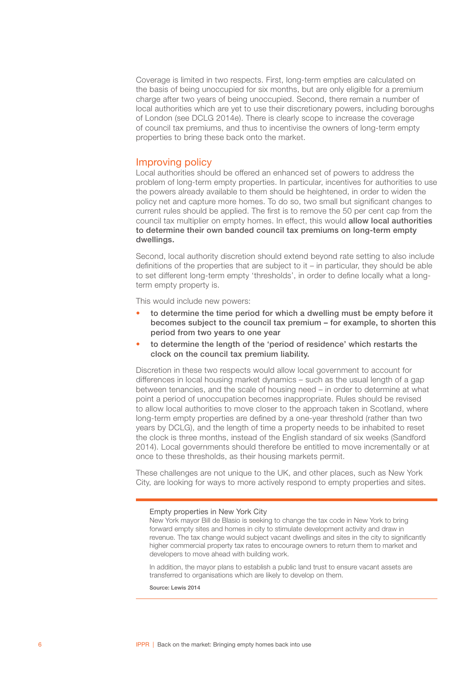<span id="page-7-0"></span>Coverage is limited in two respects. First, long-term empties are calculated on the basis of being unoccupied for six months, but are only eligible for a premium charge after two years of being unoccupied. Second, there remain a number of local authorities which are yet to use their discretionary powers, including boroughs of London (see DCLG 2014e). There is clearly scope to increase the coverage of council tax premiums, and thus to incentivise the owners of long-term empty properties to bring these back onto the market.

#### Improving policy

Local authorities should be offered an enhanced set of powers to address the problem of long-term empty properties. In particular, incentives for authorities to use the powers already available to them should be heightened, in order to widen the policy net and capture more homes. To do so, two small but significant changes to current rules should be applied. The first is to remove the 50 per cent cap from the council tax multiplier on empty homes. In effect, this would allow local authorities to determine their own banded council tax premiums on long-term empty dwellings.

Second, local authority discretion should extend beyond rate setting to also include definitions of the properties that are subject to it – in particular, they should be able to set different long-term empty 'thresholds', in order to define locally what a longterm empty property is.

This would include new powers:

- to determine the time period for which a dwelling must be empty before it becomes subject to the council tax premium – for example, to shorten this period from two years to one year
- to determine the length of the 'period of residence' which restarts the clock on the council tax premium liability.

Discretion in these two respects would allow local government to account for differences in local housing market dynamics – such as the usual length of a gap between tenancies, and the scale of housing need – in order to determine at what point a period of unoccupation becomes inappropriate. Rules should be revised to allow local authorities to move closer to the approach taken in Scotland, where long-term empty properties are defined by a one-year threshold (rather than two years by DCLG), and the length of time a property needs to be inhabited to reset the clock is three months, instead of the English standard of six weeks (Sandford 2014). Local governments should therefore be entitled to move incrementally or at once to these thresholds, as their housing markets permit.

These challenges are not unique to the UK, and other places, such as New York City, are looking for ways to more actively respond to empty properties and sites.

Empty properties in New York City

New York mayor Bill de Blasio is seeking to change the tax code in New York to bring forward empty sites and homes in city to stimulate development activity and draw in revenue. The tax change would subject vacant dwellings and sites in the city to significantly higher commercial property tax rates to encourage owners to return them to market and developers to move ahead with building work.

In addition, the mayor plans to establish a public land trust to ensure vacant assets are transferred to organisations which are likely to develop on them.

Source: Lewis 2014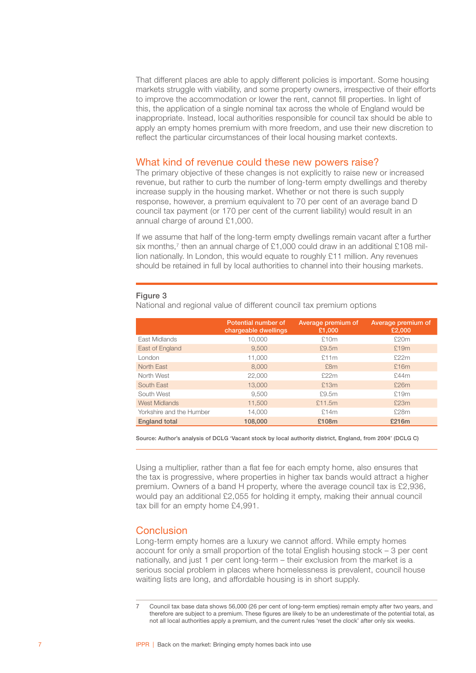<span id="page-8-0"></span>That different places are able to apply different policies is important. Some housing markets struggle with viability, and some property owners, irrespective of their efforts to improve the accommodation or lower the rent, cannot fill properties. In light of this, the application of a single nominal tax across the whole of England would be inappropriate. Instead, local authorities responsible for council tax should be able to apply an empty homes premium with more freedom, and use their new discretion to reflect the particular circumstances of their local housing market contexts.

#### What kind of revenue could these new powers raise?

The primary objective of these changes is not explicitly to raise new or increased revenue, but rather to curb the number of long-term empty dwellings and thereby increase supply in the housing market. Whether or not there is such supply response, however, a premium equivalent to 70 per cent of an average band D council tax payment (or 170 per cent of the current liability) would result in an annual charge of around £1,000.

If we assume that half of the long-term empty dwellings remain vacant after a further six months,<sup>7</sup> then an annual charge of £1,000 could draw in an additional £108 million nationally. In London, this would equate to roughly £11 million. Any revenues should be retained in full by local authorities to channel into their housing markets.

#### Figure 3

National and regional value of different council tax premium options

|                          | Potential number of<br>chargeable dwellings | Average premium of<br>£1,000 | Average premium of<br>£2,000 |
|--------------------------|---------------------------------------------|------------------------------|------------------------------|
| East Midlands            | 10,000                                      | £10m                         | £20m                         |
| East of England          | 9,500                                       | £9.5m                        | £19m                         |
| London                   | 11,000                                      | £11m                         | £22m                         |
| North East               | 8,000                                       | £8m                          | £16m                         |
| North West               | 22,000                                      | £22m                         | £44m                         |
| South East               | 13,000                                      | £13m                         | £26m                         |
| South West               | 9.500                                       | £9.5m                        | £19m                         |
| <b>West Midlands</b>     | 11,500                                      | £11.5m                       | £23m                         |
| Yorkshire and the Humber | 14,000                                      | £14m                         | £28m                         |
| <b>England total</b>     | 108,000                                     | £108m                        | £216m                        |

Source: Author's analysis of DCLG 'Vacant stock by local authority district, England, from 2004' (DCLG C)

Using a multiplier, rather than a flat fee for each empty home, also ensures that the tax is progressive, where properties in higher tax bands would attract a higher premium. Owners of a band H property, where the average council tax is £2,936, would pay an additional £2,055 for holding it empty, making their annual council tax bill for an empty home £4,991.

## Conclusion

Long-term empty homes are a luxury we cannot afford. While empty homes account for only a small proportion of the total English housing stock – 3 per cent nationally, and just 1 per cent long-term – their exclusion from the market is a serious social problem in places where homelessness is prevalent, council house waiting lists are long, and affordable housing is in short supply.

<sup>7</sup> Council tax base data shows 56,000 (26 per cent of long-term empties) remain empty after two years, and therefore are subject to a premium. These figures are likely to be an underestimate of the potential total, as not all local authorities apply a premium, and the current rules 'reset the clock' after only six weeks.